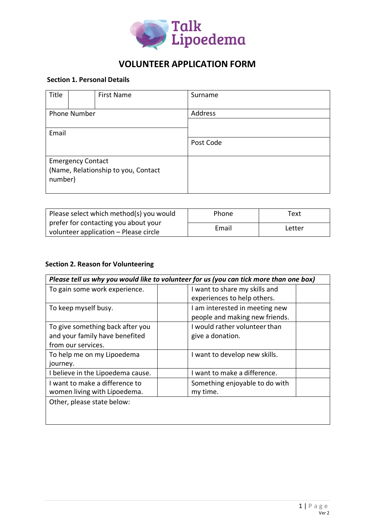

### **Section 1. Personal Details**

| Title                                                                      |  | <b>First Name</b> | Surname   |
|----------------------------------------------------------------------------|--|-------------------|-----------|
| Phone Number                                                               |  |                   | Address   |
| Email                                                                      |  |                   |           |
|                                                                            |  |                   | Post Code |
| <b>Emergency Contact</b><br>(Name, Relationship to you, Contact<br>number) |  |                   |           |

| Please select which method(s) you would | Phone | Text   |  |
|-----------------------------------------|-------|--------|--|
| prefer for contacting you about your    | Email | Letter |  |
| volunteer application – Please circle   |       |        |  |

#### **Section 2. Reason for Volunteering**

| Please tell us why you would like to volunteer for us (you can tick more than one box) |                                |  |  |  |
|----------------------------------------------------------------------------------------|--------------------------------|--|--|--|
| To gain some work experience.                                                          | I want to share my skills and  |  |  |  |
|                                                                                        | experiences to help others.    |  |  |  |
| To keep myself busy.                                                                   | I am interested in meeting new |  |  |  |
|                                                                                        | people and making new friends. |  |  |  |
| To give something back after you                                                       | I would rather volunteer than  |  |  |  |
| and your family have benefited                                                         | give a donation.               |  |  |  |
| from our services.                                                                     |                                |  |  |  |
| To help me on my Lipoedema                                                             | I want to develop new skills.  |  |  |  |
| journey.                                                                               |                                |  |  |  |
| I believe in the Lipoedema cause.                                                      | I want to make a difference.   |  |  |  |
| I want to make a difference to                                                         | Something enjoyable to do with |  |  |  |
| women living with Lipoedema.                                                           | my time.                       |  |  |  |
| Other, please state below:                                                             |                                |  |  |  |
|                                                                                        |                                |  |  |  |
|                                                                                        |                                |  |  |  |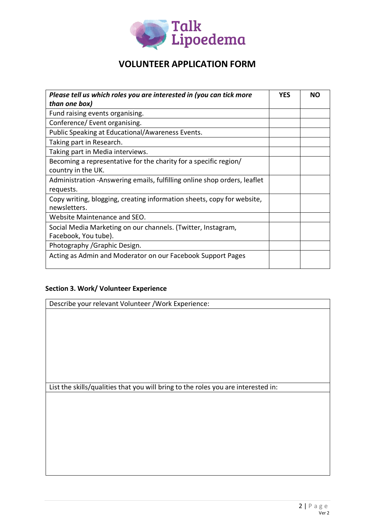

| Please tell us which roles you are interested in (you can tick more<br>than one box)   | <b>YES</b> | <b>NO</b> |
|----------------------------------------------------------------------------------------|------------|-----------|
| Fund raising events organising.                                                        |            |           |
| Conference/ Event organising.                                                          |            |           |
| Public Speaking at Educational/Awareness Events.                                       |            |           |
| Taking part in Research.                                                               |            |           |
| Taking part in Media interviews.                                                       |            |           |
| Becoming a representative for the charity for a specific region/<br>country in the UK. |            |           |
| Administration -Answering emails, fulfilling online shop orders, leaflet<br>requests.  |            |           |
| Copy writing, blogging, creating information sheets, copy for website,<br>newsletters. |            |           |
| Website Maintenance and SEO.                                                           |            |           |
| Social Media Marketing on our channels. (Twitter, Instagram,                           |            |           |
| Facebook, You tube).                                                                   |            |           |
| Photography / Graphic Design.                                                          |            |           |
| Acting as Admin and Moderator on our Facebook Support Pages                            |            |           |

### **Section 3. Work/ Volunteer Experience**

| Describe your relevant Volunteer / Work Experience:                               |  |  |
|-----------------------------------------------------------------------------------|--|--|
|                                                                                   |  |  |
|                                                                                   |  |  |
|                                                                                   |  |  |
|                                                                                   |  |  |
|                                                                                   |  |  |
|                                                                                   |  |  |
|                                                                                   |  |  |
| List the skills/qualities that you will bring to the roles you are interested in: |  |  |
|                                                                                   |  |  |
|                                                                                   |  |  |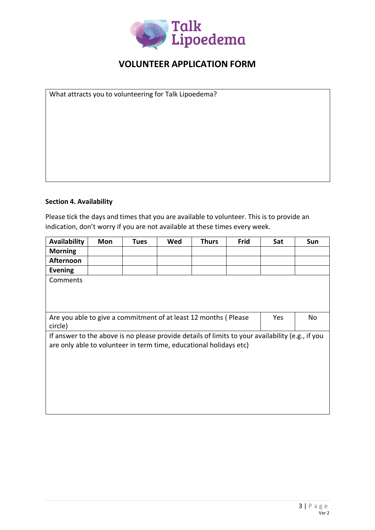

What attracts you to volunteering for Talk Lipoedema?

### **Section 4. Availability**

Please tick the days and times that you are available to volunteer. This is to provide an indication, don't worry if you are not available at these times every week.

| <b>Availability</b>                                                                              | Mon | <b>Tues</b> | Wed | <b>Thurs</b> | Frid | Sat | Sun |
|--------------------------------------------------------------------------------------------------|-----|-------------|-----|--------------|------|-----|-----|
| <b>Morning</b>                                                                                   |     |             |     |              |      |     |     |
| <b>Afternoon</b>                                                                                 |     |             |     |              |      |     |     |
| <b>Evening</b>                                                                                   |     |             |     |              |      |     |     |
| Comments                                                                                         |     |             |     |              |      |     |     |
|                                                                                                  |     |             |     |              |      |     |     |
|                                                                                                  |     |             |     |              |      |     |     |
|                                                                                                  |     |             |     |              |      |     |     |
| Are you able to give a commitment of at least 12 months (Please                                  |     |             |     |              |      | Yes | No  |
| circle)                                                                                          |     |             |     |              |      |     |     |
| If answer to the above is no please provide details of limits to your availability (e.g., if you |     |             |     |              |      |     |     |
| are only able to volunteer in term time, educational holidays etc)                               |     |             |     |              |      |     |     |
|                                                                                                  |     |             |     |              |      |     |     |
|                                                                                                  |     |             |     |              |      |     |     |
|                                                                                                  |     |             |     |              |      |     |     |
|                                                                                                  |     |             |     |              |      |     |     |
|                                                                                                  |     |             |     |              |      |     |     |
|                                                                                                  |     |             |     |              |      |     |     |
|                                                                                                  |     |             |     |              |      |     |     |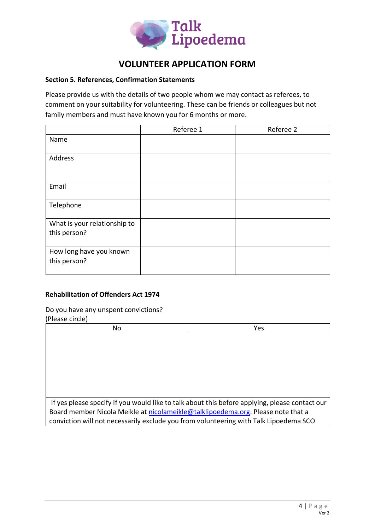

#### **Section 5. References, Confirmation Statements**

Please provide us with the details of two people whom we may contact as referees, to comment on your suitability for volunteering. These can be friends or colleagues but not family members and must have known you for 6 months or more.

|                                              | Referee 1 | Referee 2 |
|----------------------------------------------|-----------|-----------|
| Name                                         |           |           |
| Address                                      |           |           |
| Email                                        |           |           |
| Telephone                                    |           |           |
| What is your relationship to<br>this person? |           |           |
| How long have you known<br>this person?      |           |           |

### **Rehabilitation of Offenders Act 1974**

#### Do you have any unspent convictions?

(Please circle) No Yes If yes please specify If you would like to talk about this before applying, please contact our Board member Nicola Meikle at [nicolameikle@talklipoedema.org.](mailto:nicolameikle@talklipoedema.org) Please note that a conviction will not necessarily exclude you from volunteering with Talk Lipoedema SCO